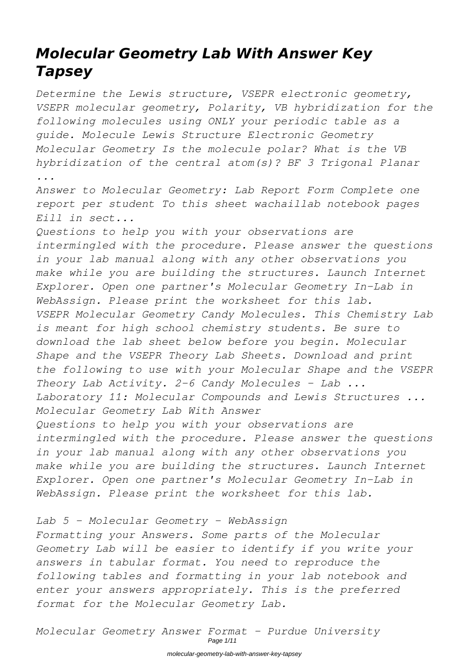# *Molecular Geometry Lab With Answer Key Tapsey*

*Determine the Lewis structure, VSEPR electronic geometry, VSEPR molecular geometry, Polarity, VB hybridization for the following molecules using ONLY your periodic table as a guide. Molecule Lewis Structure Electronic Geometry Molecular Geometry Is the molecule polar? What is the VB hybridization of the central atom(s)? BF 3 Trigonal Planar ...*

*Answer to Molecular Geometry: Lab Report Form Complete one report per student To this sheet wachaillab notebook pages Eill in sect...*

*Questions to help you with your observations are intermingled with the procedure. Please answer the questions in your lab manual along with any other observations you make while you are building the structures. Launch Internet Explorer. Open one partner's Molecular Geometry In-Lab in WebAssign. Please print the worksheet for this lab. VSEPR Molecular Geometry Candy Molecules. This Chemistry Lab is meant for high school chemistry students. Be sure to download the lab sheet below before you begin. Molecular Shape and the VSEPR Theory Lab Sheets. Download and print the following to use with your Molecular Shape and the VSEPR Theory Lab Activity. 2-6 Candy Molecules - Lab ... Laboratory 11: Molecular Compounds and Lewis Structures ... Molecular Geometry Lab With Answer Questions to help you with your observations are intermingled with the procedure. Please answer the questions in your lab manual along with any other observations you make while you are building the structures. Launch Internet*

*Explorer. Open one partner's Molecular Geometry In-Lab in WebAssign. Please print the worksheet for this lab.*

#### *Lab 5 - Molecular Geometry - WebAssign*

*Formatting your Answers. Some parts of the Molecular Geometry Lab will be easier to identify if you write your answers in tabular format. You need to reproduce the following tables and formatting in your lab notebook and enter your answers appropriately. This is the preferred format for the Molecular Geometry Lab.*

*Molecular Geometry Answer Format - Purdue University* Page 1/11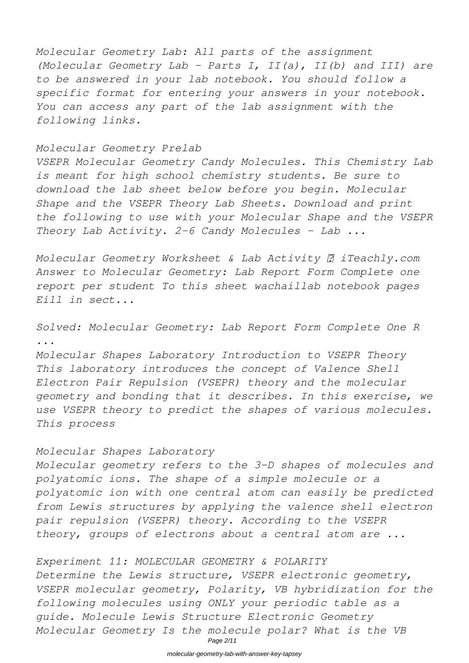*Molecular Geometry Lab: All parts of the assignment (Molecular Geometry Lab - Parts I, II(a), II(b) and III) are to be answered in your lab notebook. You should follow a specific format for entering your answers in your notebook. You can access any part of the lab assignment with the following links.*

#### *Molecular Geometry Prelab*

*VSEPR Molecular Geometry Candy Molecules. This Chemistry Lab is meant for high school chemistry students. Be sure to download the lab sheet below before you begin. Molecular Shape and the VSEPR Theory Lab Sheets. Download and print the following to use with your Molecular Shape and the VSEPR Theory Lab Activity. 2-6 Candy Molecules - Lab ...*

*Molecular Geometry Worksheet & Lab Activity ∂ iTeachly.com Answer to Molecular Geometry: Lab Report Form Complete one report per student To this sheet wachaillab notebook pages Eill in sect...*

#### *Solved: Molecular Geometry: Lab Report Form Complete One R ... Molecular Shapes Laboratory Introduction to VSEPR Theory*

*This laboratory introduces the concept of Valence Shell Electron Pair Repulsion (VSEPR) theory and the molecular geometry and bonding that it describes. In this exercise, we use VSEPR theory to predict the shapes of various molecules. This process*

#### *Molecular Shapes Laboratory*

*Molecular geometry refers to the 3-D shapes of molecules and polyatomic ions. The shape of a simple molecule or a polyatomic ion with one central atom can easily be predicted from Lewis structures by applying the valence shell electron pair repulsion (VSEPR) theory. According to the VSEPR theory, groups of electrons about a central atom are ...*

#### *Experiment 11: MOLECULAR GEOMETRY & POLARITY*

*Determine the Lewis structure, VSEPR electronic geometry, VSEPR molecular geometry, Polarity, VB hybridization for the following molecules using ONLY your periodic table as a guide. Molecule Lewis Structure Electronic Geometry Molecular Geometry Is the molecule polar? What is the VB*

Page 2/11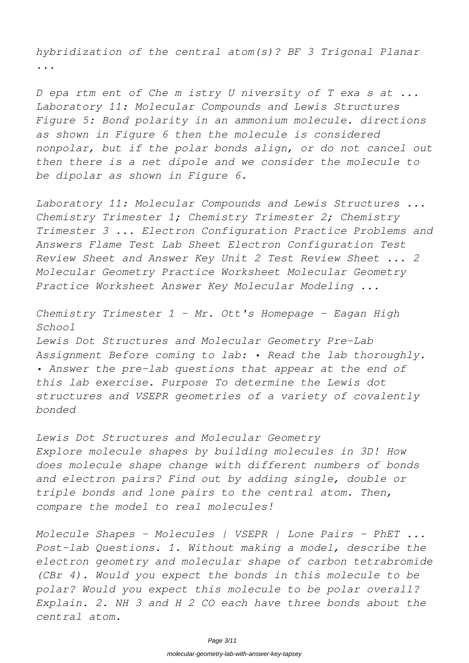*hybridization of the central atom(s)? BF 3 Trigonal Planar ...*

*D epa rtm ent of Che m istry U niversity of T exa s at ... Laboratory 11: Molecular Compounds and Lewis Structures Figure 5: Bond polarity in an ammonium molecule. directions as shown in Figure 6 then the molecule is considered nonpolar, but if the polar bonds align, or do not cancel out then there is a net dipole and we consider the molecule to be dipolar as shown in Figure 6.*

*Laboratory 11: Molecular Compounds and Lewis Structures ... Chemistry Trimester 1; Chemistry Trimester 2; Chemistry Trimester 3 ... Electron Configuration Practice Problems and Answers Flame Test Lab Sheet Electron Configuration Test Review Sheet and Answer Key Unit 2 Test Review Sheet ... 2 Molecular Geometry Practice Worksheet Molecular Geometry Practice Worksheet Answer Key Molecular Modeling ...*

*Chemistry Trimester 1 - Mr. Ott's Homepage - Eagan High School Lewis Dot Structures and Molecular Geometry Pre-Lab Assignment Before coming to lab: • Read the lab thoroughly. • Answer the pre-lab questions that appear at the end of this lab exercise. Purpose To determine the Lewis dot structures and VSEPR geometries of a variety of covalently bonded*

*Lewis Dot Structures and Molecular Geometry Explore molecule shapes by building molecules in 3D! How does molecule shape change with different numbers of bonds and electron pairs? Find out by adding single, double or triple bonds and lone pairs to the central atom. Then, compare the model to real molecules!*

*Molecule Shapes - Molecules | VSEPR | Lone Pairs - PhET ... Post-lab Questions. 1. Without making a model, describe the electron geometry and molecular shape of carbon tetrabromide (CBr 4). Would you expect the bonds in this molecule to be polar? Would you expect this molecule to be polar overall? Explain. 2. NH 3 and H 2 CO each have three bonds about the central atom.*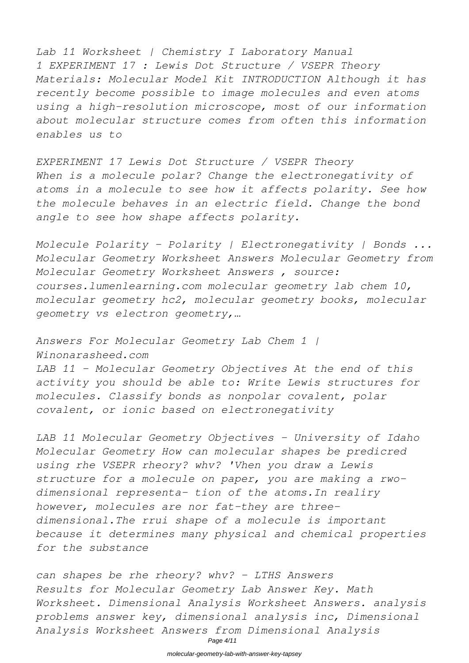*Lab 11 Worksheet | Chemistry I Laboratory Manual 1 EXPERIMENT 17 : Lewis Dot Structure / VSEPR Theory Materials: Molecular Model Kit INTRODUCTION Although it has recently become possible to image molecules and even atoms using a high-resolution microscope, most of our information about molecular structure comes from often this information enables us to*

*EXPERIMENT 17 Lewis Dot Structure / VSEPR Theory When is a molecule polar? Change the electronegativity of atoms in a molecule to see how it affects polarity. See how the molecule behaves in an electric field. Change the bond angle to see how shape affects polarity.*

*Molecule Polarity - Polarity | Electronegativity | Bonds ... Molecular Geometry Worksheet Answers Molecular Geometry from Molecular Geometry Worksheet Answers , source: courses.lumenlearning.com molecular geometry lab chem 10, molecular geometry hc2, molecular geometry books, molecular geometry vs electron geometry,…*

*Answers For Molecular Geometry Lab Chem 1 | Winonarasheed.com LAB 11 – Molecular Geometry Objectives At the end of this activity you should be able to: Write Lewis structures for molecules. Classify bonds as nonpolar covalent, polar covalent, or ionic based on electronegativity*

*LAB 11 Molecular Geometry Objectives - University of Idaho Molecular Geometry How can molecular shapes be predicred using rhe VSEPR rheory? whv? 'Vhen you draw a Lewis structure for a molecule on paper, you are making a rwodimensional representa- tion of the atoms.In realiry however, molecules are nor fat-they are threedimensional.The rrui shape of a molecule is important because it determines many physical and chemical properties for the substance*

*can shapes be rhe rheory? whv? - LTHS Answers Results for Molecular Geometry Lab Answer Key. Math Worksheet. Dimensional Analysis Worksheet Answers. analysis problems answer key, dimensional analysis inc, Dimensional Analysis Worksheet Answers from Dimensional Analysis*

Page 4/11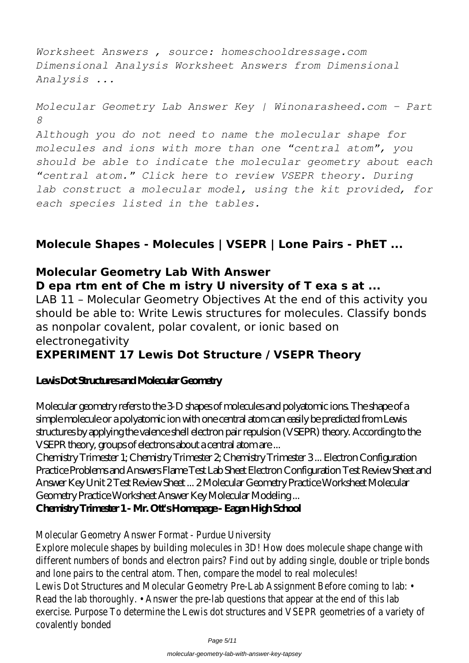*Worksheet Answers , source: homeschooldressage.com Dimensional Analysis Worksheet Answers from Dimensional Analysis ...*

```
Molecular Geometry Lab Answer Key | Winonarasheed.com - Part
8
Although you do not need to name the molecular shape for
molecules and ions with more than one "central atom", you
should be able to indicate the molecular geometry about each
"central atom." Click here to review VSEPR theory. During
lab construct a molecular model, using the kit provided, for
each species listed in the tables.
```
## **Molecule Shapes - Molecules | VSEPR | Lone Pairs - PhET ...**

## **Molecular Geometry Lab With Answer D epa rtm ent of Che m istry U niversity of T exa s at ...**

LAB 11 – Molecular Geometry Objectives At the end of this activity you should be able to: Write Lewis structures for molecules. Classify bonds as nonpolar covalent, polar covalent, or ionic based on electronegativity

## **EXPERIMENT 17 Lewis Dot Structure / VSEPR Theory**

## **Lewis Dot Structures and Molecular Geometry**

Molecular geometry refers to the 3-D shapes of molecules and polyatomic ions. The shape of a simple molecule or a polyatomic ion with one central atom can easily be predicted from Lewis structures by applying the valence shell electron pair repulsion (VSEPR) theory. According to the VSEPR theory, groups of electrons about a central atom are ...

Chemistry Trimester 1; Chemistry Trimester 2; Chemistry Trimester 3 ... Electron Configuration Practice Problems and Answers Flame Test Lab Sheet Electron Configuration Test Review Sheet and Answer Key Unit 2 Test Review Sheet ... 2 Molecular Geometry Practice Worksheet Molecular Geometry Practice Worksheet Answer Key Molecular Modeling ...

**Chemistry Trimester 1 - Mr. Ott's Homepage - Eagan High School**

Molecular Geometry Answer Format - Purdue University

Explore molecule shapes by building molecules in 3D! How does molecule shape chan different numbers of bonds and electron pairs? Find out by adding single, double or trip and lone pairs to the central atom. Then, compare the model to real mo Lewis Dot Structures and Molecular Geometry Pre-Lab Assignment Before coming Read the lab thoroughly.  $\cdot$  Answer the pre-lab questions that appear at the end of exercise. Purpose To determine the Lewis dot structures and VSEPR geometries of a covalently bonde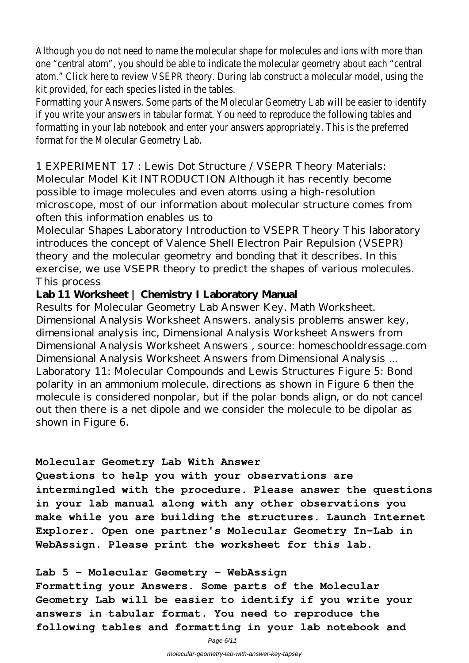Although you do not need to name the molecular shape for molecules and ions with m one "central atom", you should be able to indicate the molecular geometry about each atom." Click here to review VSEPR theory. During lab construct a molecular model, u kit provided, for each species listed in the ta

Formatting your Answers. Some parts of the Molecular Geometry Lab will be easier t if you write your answers in tabular format. You need to reproduce the following t formatting in your lab notebook and enter your answers appropriately. This is the preferred format for the Molecular Geometry

1 EXPERIMENT 17 : Lewis Dot Structure / VSEPR Theory Materials: Molecular Model Kit INTRODUCTION Although it has recently become possible to image molecules and even atoms using a high-resolution microscope, most of our information about molecular structure comes from often this information enables us to

Molecular Shapes Laboratory Introduction to VSEPR Theory This laboratory introduces the concept of Valence Shell Electron Pair Repulsion (VSEPR) theory and the molecular geometry and bonding that it describes. In this exercise, we use VSEPR theory to predict the shapes of various molecules. This process

### **Lab 11 Worksheet | Chemistry I Laboratory Manual**

Results for Molecular Geometry Lab Answer Key. Math Worksheet. Dimensional Analysis Worksheet Answers. analysis problems answer key, dimensional analysis inc, Dimensional Analysis Worksheet Answers from Dimensional Analysis Worksheet Answers , source: homeschooldressage.com Dimensional Analysis Worksheet Answers from Dimensional Analysis ... Laboratory 11: Molecular Compounds and Lewis Structures Figure 5: Bond polarity in an ammonium molecule. directions as shown in Figure 6 then the molecule is considered nonpolar, but if the polar bonds align, or do not cancel out then there is a net dipole and we consider the molecule to be dipolar as shown in Figure 6.

#### **Molecular Geometry Lab With Answer**

**Questions to help you with your observations are intermingled with the procedure. Please answer the questions in your lab manual along with any other observations you make while you are building the structures. Launch Internet Explorer. Open one partner's Molecular Geometry In-Lab in WebAssign. Please print the worksheet for this lab.**

**Lab 5 - Molecular Geometry - WebAssign**

**Formatting your Answers. Some parts of the Molecular Geometry Lab will be easier to identify if you write your answers in tabular format. You need to reproduce the following tables and formatting in your lab notebook and**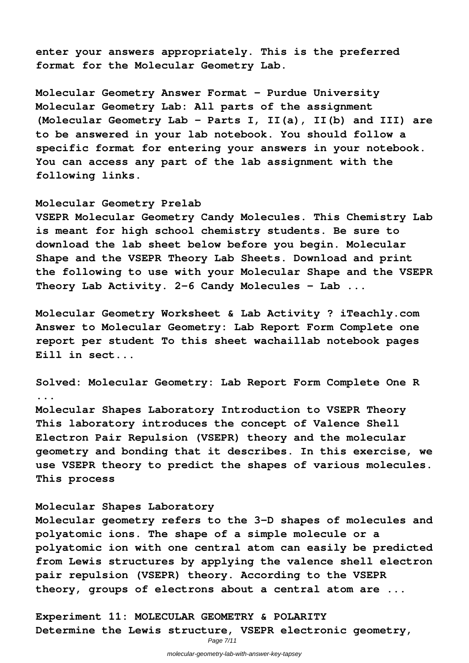**enter your answers appropriately. This is the preferred format for the Molecular Geometry Lab.**

**Molecular Geometry Answer Format - Purdue University Molecular Geometry Lab: All parts of the assignment (Molecular Geometry Lab - Parts I, II(a), II(b) and III) are to be answered in your lab notebook. You should follow a specific format for entering your answers in your notebook. You can access any part of the lab assignment with the following links.**

#### **Molecular Geometry Prelab**

**VSEPR Molecular Geometry Candy Molecules. This Chemistry Lab is meant for high school chemistry students. Be sure to download the lab sheet below before you begin. Molecular Shape and the VSEPR Theory Lab Sheets. Download and print the following to use with your Molecular Shape and the VSEPR Theory Lab Activity. 2-6 Candy Molecules - Lab ...**

**Molecular Geometry Worksheet & Lab Activity ? iTeachly.com Answer to Molecular Geometry: Lab Report Form Complete one report per student To this sheet wachaillab notebook pages Eill in sect...**

**Solved: Molecular Geometry: Lab Report Form Complete One R ...**

**Molecular Shapes Laboratory Introduction to VSEPR Theory This laboratory introduces the concept of Valence Shell Electron Pair Repulsion (VSEPR) theory and the molecular geometry and bonding that it describes. In this exercise, we use VSEPR theory to predict the shapes of various molecules. This process**

#### **Molecular Shapes Laboratory**

**Molecular geometry refers to the 3-D shapes of molecules and polyatomic ions. The shape of a simple molecule or a polyatomic ion with one central atom can easily be predicted from Lewis structures by applying the valence shell electron pair repulsion (VSEPR) theory. According to the VSEPR theory, groups of electrons about a central atom are ...**

**Experiment 11: MOLECULAR GEOMETRY & POLARITY Determine the Lewis structure, VSEPR electronic geometry,**

Page 7/11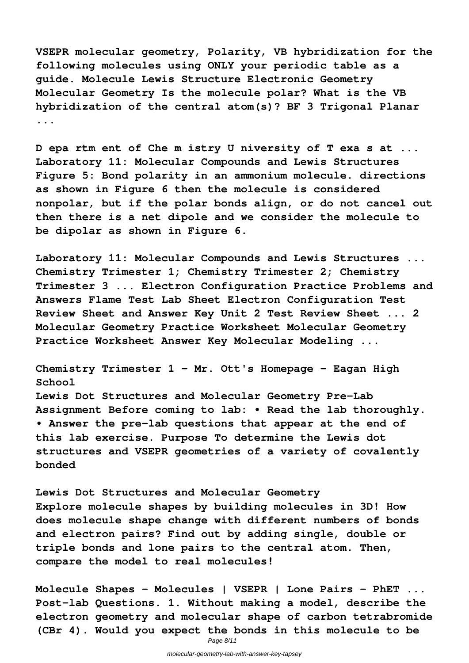**VSEPR molecular geometry, Polarity, VB hybridization for the following molecules using ONLY your periodic table as a guide. Molecule Lewis Structure Electronic Geometry Molecular Geometry Is the molecule polar? What is the VB hybridization of the central atom(s)? BF 3 Trigonal Planar ...**

**D epa rtm ent of Che m istry U niversity of T exa s at ... Laboratory 11: Molecular Compounds and Lewis Structures Figure 5: Bond polarity in an ammonium molecule. directions as shown in Figure 6 then the molecule is considered nonpolar, but if the polar bonds align, or do not cancel out then there is a net dipole and we consider the molecule to be dipolar as shown in Figure 6.**

**Laboratory 11: Molecular Compounds and Lewis Structures ... Chemistry Trimester 1; Chemistry Trimester 2; Chemistry Trimester 3 ... Electron Configuration Practice Problems and Answers Flame Test Lab Sheet Electron Configuration Test Review Sheet and Answer Key Unit 2 Test Review Sheet ... 2 Molecular Geometry Practice Worksheet Molecular Geometry Practice Worksheet Answer Key Molecular Modeling ...**

**Chemistry Trimester 1 - Mr. Ott's Homepage - Eagan High School Lewis Dot Structures and Molecular Geometry Pre-Lab Assignment Before coming to lab: • Read the lab thoroughly. • Answer the pre-lab questions that appear at the end of this lab exercise. Purpose To determine the Lewis dot structures and VSEPR geometries of a variety of covalently bonded**

**Lewis Dot Structures and Molecular Geometry Explore molecule shapes by building molecules in 3D! How does molecule shape change with different numbers of bonds and electron pairs? Find out by adding single, double or triple bonds and lone pairs to the central atom. Then, compare the model to real molecules!**

**Molecule Shapes - Molecules | VSEPR | Lone Pairs - PhET ... Post-lab Questions. 1. Without making a model, describe the electron geometry and molecular shape of carbon tetrabromide (CBr 4). Would you expect the bonds in this molecule to be**

Page 8/11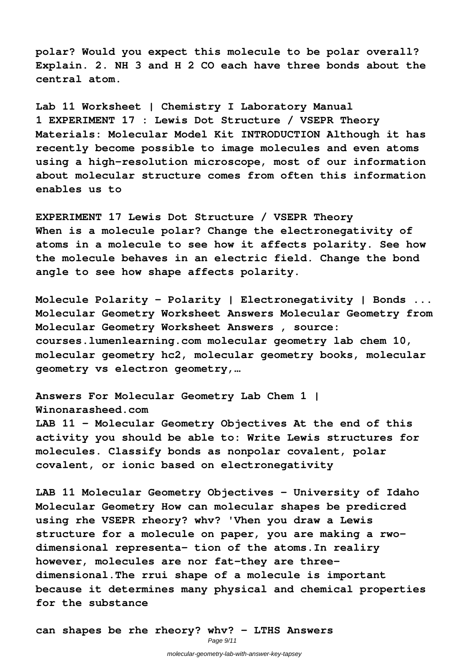**polar? Would you expect this molecule to be polar overall? Explain. 2. NH 3 and H 2 CO each have three bonds about the central atom.**

**Lab 11 Worksheet | Chemistry I Laboratory Manual 1 EXPERIMENT 17 : Lewis Dot Structure / VSEPR Theory Materials: Molecular Model Kit INTRODUCTION Although it has recently become possible to image molecules and even atoms using a high-resolution microscope, most of our information about molecular structure comes from often this information enables us to**

**EXPERIMENT 17 Lewis Dot Structure / VSEPR Theory When is a molecule polar? Change the electronegativity of atoms in a molecule to see how it affects polarity. See how the molecule behaves in an electric field. Change the bond angle to see how shape affects polarity.**

**Molecule Polarity - Polarity | Electronegativity | Bonds ... Molecular Geometry Worksheet Answers Molecular Geometry from Molecular Geometry Worksheet Answers , source: courses.lumenlearning.com molecular geometry lab chem 10, molecular geometry hc2, molecular geometry books, molecular geometry vs electron geometry,…**

**Answers For Molecular Geometry Lab Chem 1 | Winonarasheed.com LAB 11 – Molecular Geometry Objectives At the end of this activity you should be able to: Write Lewis structures for molecules. Classify bonds as nonpolar covalent, polar covalent, or ionic based on electronegativity**

**LAB 11 Molecular Geometry Objectives - University of Idaho Molecular Geometry How can molecular shapes be predicred using rhe VSEPR rheory? whv? 'Vhen you draw a Lewis structure for a molecule on paper, you are making a rwodimensional representa- tion of the atoms.In realiry however, molecules are nor fat-they are threedimensional.The rrui shape of a molecule is important because it determines many physical and chemical properties for the substance**

**can shapes be rhe rheory? whv? - LTHS Answers**

Page 9/11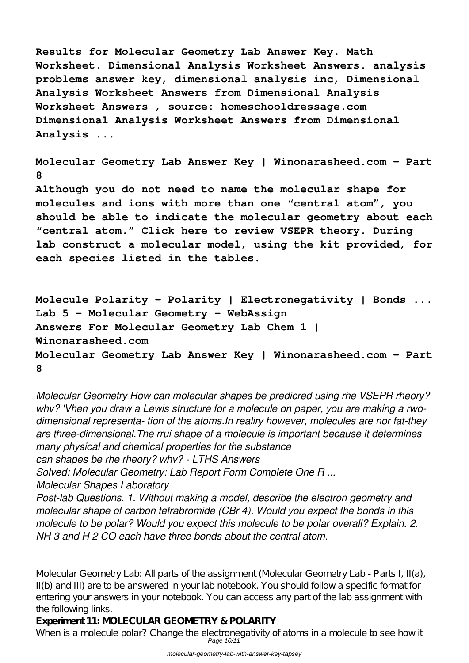**Results for Molecular Geometry Lab Answer Key. Math Worksheet. Dimensional Analysis Worksheet Answers. analysis problems answer key, dimensional analysis inc, Dimensional Analysis Worksheet Answers from Dimensional Analysis Worksheet Answers , source: homeschooldressage.com Dimensional Analysis Worksheet Answers from Dimensional Analysis ...**

**Molecular Geometry Lab Answer Key | Winonarasheed.com - Part 8 Although you do not need to name the molecular shape for**

**molecules and ions with more than one "central atom", you should be able to indicate the molecular geometry about each "central atom." Click here to review VSEPR theory. During lab construct a molecular model, using the kit provided, for each species listed in the tables.**

**Molecule Polarity - Polarity | Electronegativity | Bonds ... Lab 5 - Molecular Geometry - WebAssign Answers For Molecular Geometry Lab Chem 1 | Winonarasheed.com Molecular Geometry Lab Answer Key | Winonarasheed.com - Part 8**

*Molecular Geometry How can molecular shapes be predicred using rhe VSEPR rheory? whv? 'Vhen you draw a Lewis structure for a molecule on paper, you are making a rwodimensional representa- tion of the atoms.In realiry however, molecules are nor fat-they are three-dimensional.The rrui shape of a molecule is important because it determines many physical and chemical properties for the substance can shapes be rhe rheory? whv? - LTHS Answers Solved: Molecular Geometry: Lab Report Form Complete One R ... Molecular Shapes Laboratory Post-lab Questions. 1. Without making a model, describe the electron geometry and molecular shape of carbon tetrabromide (CBr 4). Would you expect the bonds in this molecule to be polar? Would you expect this molecule to be polar overall? Explain. 2.*

*NH 3 and H 2 CO each have three bonds about the central atom.*

Molecular Geometry Lab: All parts of the assignment (Molecular Geometry Lab - Parts I, II(a), II(b) and III) are to be answered in your lab notebook. You should follow a specific format for entering your answers in your notebook. You can access any part of the lab assignment with the following links.

**Experiment 11: MOLECULAR GEOMETRY & POLARITY**

When is a molecule polar? Change the electronegativity of atoms in a molecule to see how it Page 10/11